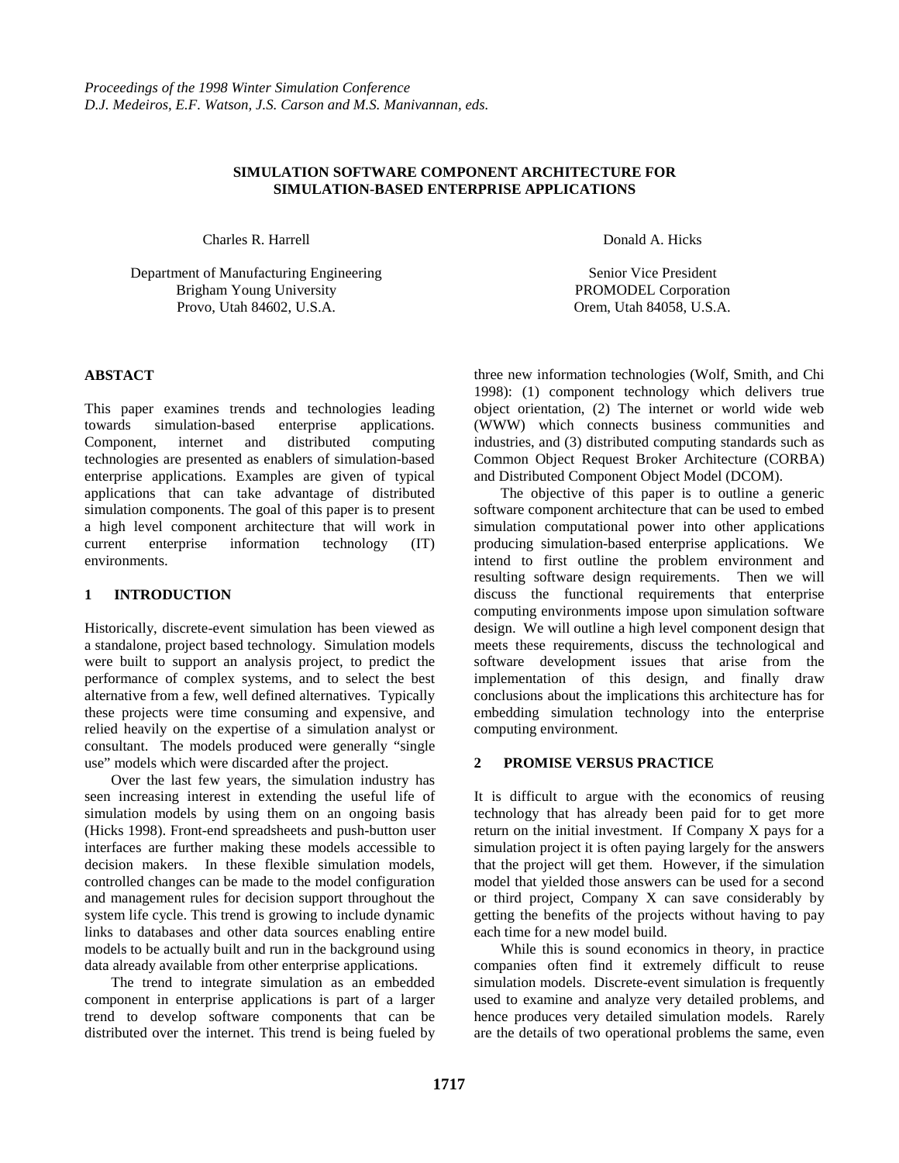### **SIMULATION SOFTWARE COMPONENT ARCHITECTURE FOR SIMULATION-BASED ENTERPRISE APPLICATIONS**

Charles R. Harrell

Department of Manufacturing Engineering Brigham Young University Provo, Utah 84602, U.S.A.

### **ABSTACT**

This paper examines trends and technologies leading towards simulation-based enterprise applications. Component, internet and distributed computing technologies are presented as enablers of simulation-based enterprise applications. Examples are given of typical applications that can take advantage of distributed simulation components. The goal of this paper is to present a high level component architecture that will work in current enterprise information technology (IT) environments.

### **1 INTRODUCTION**

Historically, discrete-event simulation has been viewed as a standalone, project based technology. Simulation models were built to support an analysis project, to predict the performance of complex systems, and to select the best alternative from a few, well defined alternatives. Typically these projects were time consuming and expensive, and relied heavily on the expertise of a simulation analyst or consultant. The models produced were generally "single use" models which were discarded after the project.

Over the last few years, the simulation industry has seen increasing interest in extending the useful life of simulation models by using them on an ongoing basis (Hicks 1998). Front-end spreadsheets and push-button user interfaces are further making these models accessible to decision makers. In these flexible simulation models, controlled changes can be made to the model configuration and management rules for decision support throughout the system life cycle. This trend is growing to include dynamic links to databases and other data sources enabling entire models to be actually built and run in the background using data already available from other enterprise applications.

The trend to integrate simulation as an embedded component in enterprise applications is part of a larger trend to develop software components that can be distributed over the internet. This trend is being fueled by Donald A. Hicks

Senior Vice President PROMODEL Corporation Orem, Utah 84058, U.S.A.

three new information technologies (Wolf, Smith, and Chi 1998): (1) component technology which delivers true object orientation, (2) The internet or world wide web (WWW) which connects business communities and industries, and (3) distributed computing standards such as Common Object Request Broker Architecture (CORBA) and Distributed Component Object Model (DCOM).

The objective of this paper is to outline a generic software component architecture that can be used to embed simulation computational power into other applications producing simulation-based enterprise applications. We intend to first outline the problem environment and resulting software design requirements. Then we will discuss the functional requirements that enterprise computing environments impose upon simulation software design. We will outline a high level component design that meets these requirements, discuss the technological and software development issues that arise from the implementation of this design, and finally draw conclusions about the implications this architecture has for embedding simulation technology into the enterprise computing environment.

### **2 PROMISE VERSUS PRACTICE**

It is difficult to argue with the economics of reusing technology that has already been paid for to get more return on the initial investment. If Company X pays for a simulation project it is often paying largely for the answers that the project will get them. However, if the simulation model that yielded those answers can be used for a second or third project, Company X can save considerably by getting the benefits of the projects without having to pay each time for a new model build.

While this is sound economics in theory, in practice companies often find it extremely difficult to reuse simulation models. Discrete-event simulation is frequently used to examine and analyze very detailed problems, and hence produces very detailed simulation models. Rarely are the details of two operational problems the same, even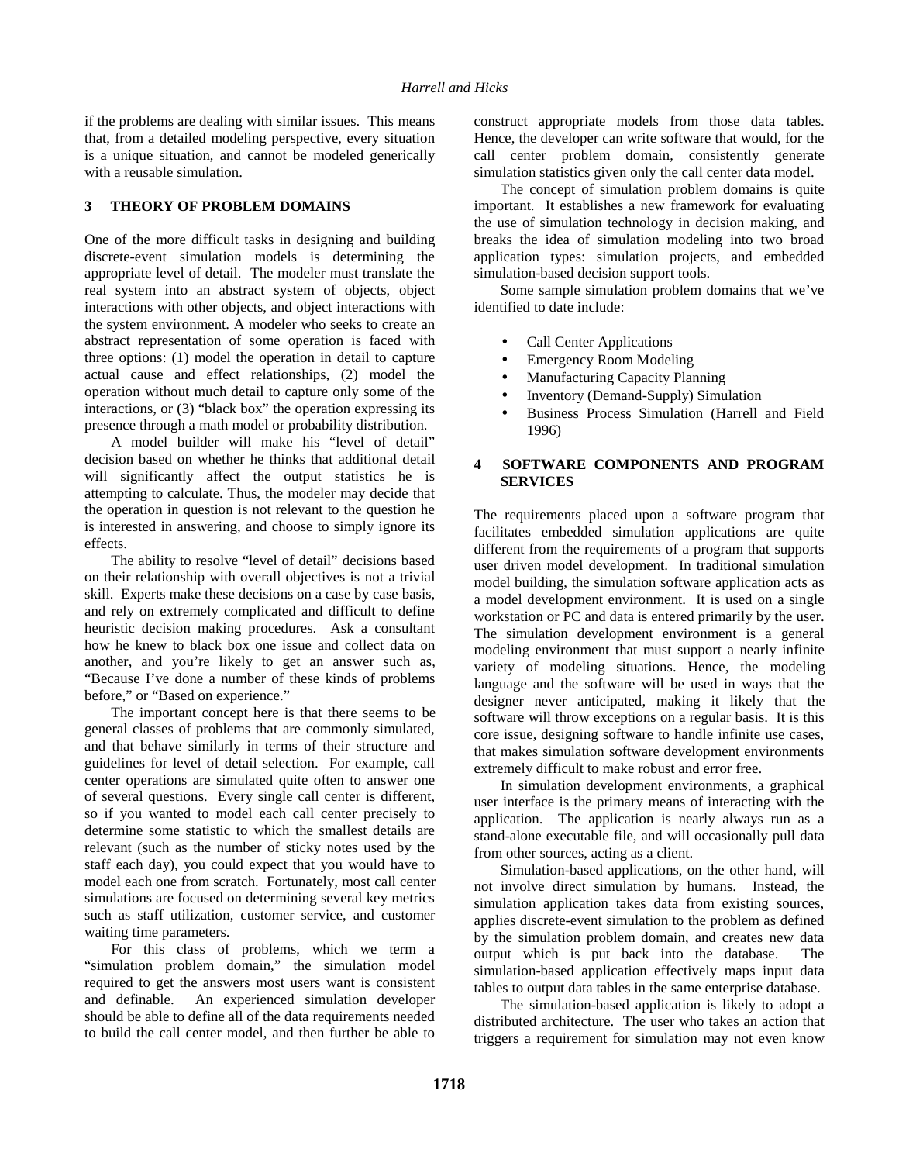if the problems are dealing with similar issues. This means that, from a detailed modeling perspective, every situation is a unique situation, and cannot be modeled generically with a reusable simulation.

# **3 THEORY OF PROBLEM DOMAINS**

One of the more difficult tasks in designing and building discrete-event simulation models is determining the appropriate level of detail. The modeler must translate the real system into an abstract system of objects, object interactions with other objects, and object interactions with the system environment. A modeler who seeks to create an abstract representation of some operation is faced with three options: (1) model the operation in detail to capture actual cause and effect relationships, (2) model the operation without much detail to capture only some of the interactions, or (3) "black box" the operation expressing its presence through a math model or probability distribution.

A model builder will make his "level of detail" decision based on whether he thinks that additional detail will significantly affect the output statistics he is attempting to calculate. Thus, the modeler may decide that the operation in question is not relevant to the question he is interested in answering, and choose to simply ignore its effects.

The ability to resolve "level of detail" decisions based on their relationship with overall objectives is not a trivial skill. Experts make these decisions on a case by case basis, and rely on extremely complicated and difficult to define heuristic decision making procedures. Ask a consultant how he knew to black box one issue and collect data on another, and you're likely to get an answer such as, "Because I've done a number of these kinds of problems before," or "Based on experience."

The important concept here is that there seems to be general classes of problems that are commonly simulated, and that behave similarly in terms of their structure and guidelines for level of detail selection. For example, call center operations are simulated quite often to answer one of several questions. Every single call center is different, so if you wanted to model each call center precisely to determine some statistic to which the smallest details are relevant (such as the number of sticky notes used by the staff each day), you could expect that you would have to model each one from scratch. Fortunately, most call center simulations are focused on determining several key metrics such as staff utilization, customer service, and customer waiting time parameters.

For this class of problems, which we term a "simulation problem domain," the simulation model required to get the answers most users want is consistent and definable. An experienced simulation developer should be able to define all of the data requirements needed to build the call center model, and then further be able to construct appropriate models from those data tables. Hence, the developer can write software that would, for the call center problem domain, consistently generate simulation statistics given only the call center data model.

The concept of simulation problem domains is quite important. It establishes a new framework for evaluating the use of simulation technology in decision making, and breaks the idea of simulation modeling into two broad application types: simulation projects, and embedded simulation-based decision support tools.

Some sample simulation problem domains that we've identified to date include:

- Call Center Applications
- Emergency Room Modeling
- Manufacturing Capacity Planning
- Inventory (Demand-Supply) Simulation
- Business Process Simulation (Harrell and Field 1996)

# **4 SOFTWARE COMPONENTS AND PROGRAM SERVICES**

The requirements placed upon a software program that facilitates embedded simulation applications are quite different from the requirements of a program that supports user driven model development. In traditional simulation model building, the simulation software application acts as a model development environment. It is used on a single workstation or PC and data is entered primarily by the user. The simulation development environment is a general modeling environment that must support a nearly infinite variety of modeling situations. Hence, the modeling language and the software will be used in ways that the designer never anticipated, making it likely that the software will throw exceptions on a regular basis. It is this core issue, designing software to handle infinite use cases, that makes simulation software development environments extremely difficult to make robust and error free.

In simulation development environments, a graphical user interface is the primary means of interacting with the application. The application is nearly always run as a stand-alone executable file, and will occasionally pull data from other sources, acting as a client.

Simulation-based applications, on the other hand, will not involve direct simulation by humans. Instead, the simulation application takes data from existing sources, applies discrete-event simulation to the problem as defined by the simulation problem domain, and creates new data output which is put back into the database. The simulation-based application effectively maps input data tables to output data tables in the same enterprise database.

The simulation-based application is likely to adopt a distributed architecture. The user who takes an action that triggers a requirement for simulation may not even know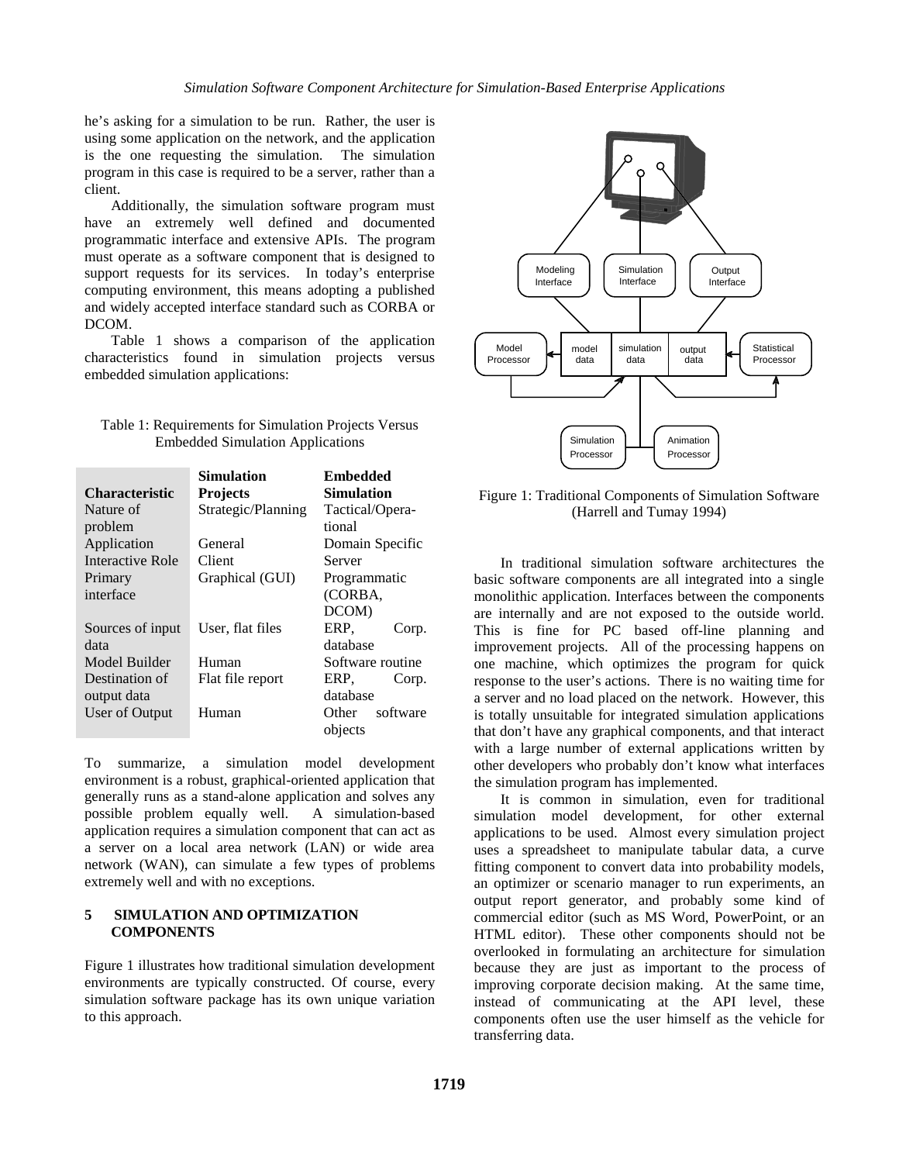he's asking for a simulation to be run. Rather, the user is using some application on the network, and the application is the one requesting the simulation. The simulation program in this case is required to be a server, rather than a client.

Additionally, the simulation software program must have an extremely well defined and documented programmatic interface and extensive APIs. The program must operate as a software component that is designed to support requests for its services. In today's enterprise computing environment, this means adopting a published and widely accepted interface standard such as CORBA or DCOM.

Table 1 shows a comparison of the application characteristics found in simulation projects versus embedded simulation applications:

| Table 1: Requirements for Simulation Projects Versus |  |
|------------------------------------------------------|--|
| <b>Embedded Simulation Applications</b>              |  |

|                       | <b>Simulation</b>  | Embedded          |
|-----------------------|--------------------|-------------------|
| <b>Characteristic</b> | <b>Projects</b>    | <b>Simulation</b> |
| Nature of             | Strategic/Planning | Tactical/Opera-   |
| problem               |                    | tional            |
| Application           | General            | Domain Specific   |
| Interactive Role      | Client             | Server            |
| Primary               | Graphical (GUI)    | Programmatic      |
| interface             |                    | (CORBA,           |
|                       |                    | DCOM)             |
| Sources of input      | User, flat files   | ERP,<br>Corp.     |
| data                  |                    | database          |
| Model Builder         | Human              | Software routine  |
| Destination of        | Flat file report   | ERP.<br>Corp.     |
| output data           |                    | database          |
| User of Output        | Human              | software<br>Other |
|                       |                    | objects           |

To summarize, a simulation model development environment is a robust, graphical-oriented application that generally runs as a stand-alone application and solves any possible problem equally well. A simulation-based application requires a simulation component that can act as a server on a local area network (LAN) or wide area network (WAN), can simulate a few types of problems extremely well and with no exceptions.

# **5 SIMULATION AND OPTIMIZATION COMPONENTS**

Figure 1 illustrates how traditional simulation development environments are typically constructed. Of course, every simulation software package has its own unique variation to this approach.



Figure 1: Traditional Components of Simulation Software (Harrell and Tumay 1994)

In traditional simulation software architectures the basic software components are all integrated into a single monolithic application. Interfaces between the components are internally and are not exposed to the outside world. This is fine for PC based off-line planning and improvement projects. All of the processing happens on one machine, which optimizes the program for quick response to the user's actions. There is no waiting time for a server and no load placed on the network. However, this is totally unsuitable for integrated simulation applications that don't have any graphical components, and that interact with a large number of external applications written by other developers who probably don't know what interfaces the simulation program has implemented.

It is common in simulation, even for traditional simulation model development, for other external applications to be used. Almost every simulation project uses a spreadsheet to manipulate tabular data, a curve fitting component to convert data into probability models, an optimizer or scenario manager to run experiments, an output report generator, and probably some kind of commercial editor (such as MS Word, PowerPoint, or an HTML editor). These other components should not be overlooked in formulating an architecture for simulation because they are just as important to the process of improving corporate decision making. At the same time, instead of communicating at the API level, these components often use the user himself as the vehicle for transferring data.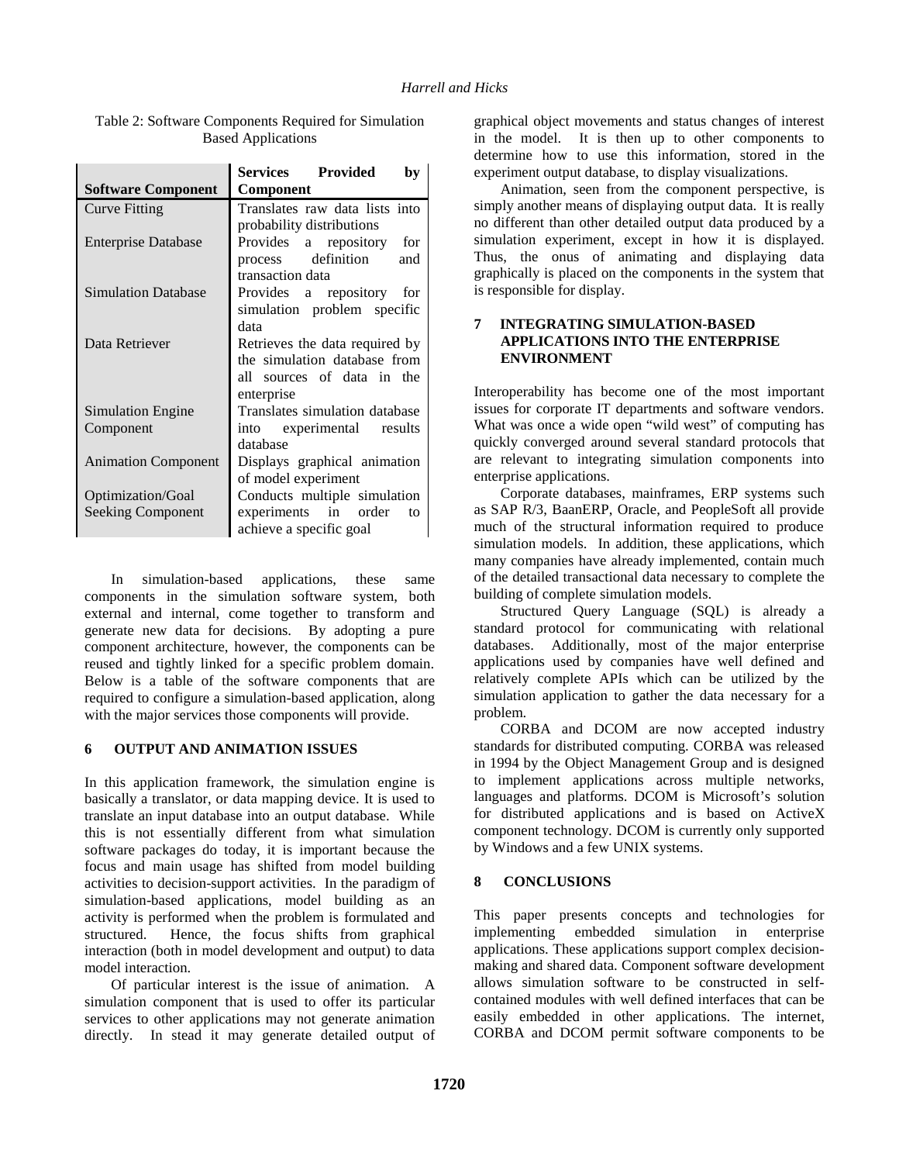|                            | Services Provided<br>by        |  |
|----------------------------|--------------------------------|--|
| <b>Software Component</b>  | Component                      |  |
| <b>Curve Fitting</b>       | Translates raw data lists into |  |
|                            | probability distributions      |  |
| <b>Enterprise Database</b> | Provides a repository<br>for   |  |
|                            | process definition<br>and      |  |
|                            | transaction data               |  |
| <b>Simulation Database</b> | Provides a repository<br>for   |  |
|                            | simulation problem specific    |  |
|                            | data                           |  |
| Data Retriever             | Retrieves the data required by |  |
|                            | the simulation database from   |  |
|                            | all sources of data in the     |  |
|                            | enterprise                     |  |
| Simulation Engine          | Translates simulation database |  |
| Component                  | into experimental<br>results   |  |
|                            | database                       |  |
| <b>Animation Component</b> | Displays graphical animation   |  |
|                            | of model experiment            |  |
| Optimization/Goal          | Conducts multiple simulation   |  |
| <b>Seeking Component</b>   | experiments in order<br>to     |  |
|                            | achieve a specific goal        |  |

Table 2: Software Components Required for Simulation Based Applications

In simulation-based applications, these same components in the simulation software system, both external and internal, come together to transform and generate new data for decisions. By adopting a pure component architecture, however, the components can be reused and tightly linked for a specific problem domain. Below is a table of the software components that are required to configure a simulation-based application, along with the major services those components will provide.

### **6 OUTPUT AND ANIMATION ISSUES**

In this application framework, the simulation engine is basically a translator, or data mapping device. It is used to translate an input database into an output database. While this is not essentially different from what simulation software packages do today, it is important because the focus and main usage has shifted from model building activities to decision-support activities. In the paradigm of simulation-based applications, model building as an activity is performed when the problem is formulated and structured. Hence, the focus shifts from graphical interaction (both in model development and output) to data model interaction.

Of particular interest is the issue of animation. A simulation component that is used to offer its particular services to other applications may not generate animation directly. In stead it may generate detailed output of graphical object movements and status changes of interest in the model. It is then up to other components to determine how to use this information, stored in the experiment output database, to display visualizations.

Animation, seen from the component perspective, is simply another means of displaying output data. It is really no different than other detailed output data produced by a simulation experiment, except in how it is displayed. Thus, the onus of animating and displaying data graphically is placed on the components in the system that is responsible for display.

# **7 INTEGRATING SIMULATION-BASED APPLICATIONS INTO THE ENTERPRISE ENVIRONMENT**

Interoperability has become one of the most important issues for corporate IT departments and software vendors. What was once a wide open "wild west" of computing has quickly converged around several standard protocols that are relevant to integrating simulation components into enterprise applications.

Corporate databases, mainframes, ERP systems such as SAP R/3, BaanERP, Oracle, and PeopleSoft all provide much of the structural information required to produce simulation models. In addition, these applications, which many companies have already implemented, contain much of the detailed transactional data necessary to complete the building of complete simulation models.

Structured Query Language (SQL) is already a standard protocol for communicating with relational databases. Additionally, most of the major enterprise applications used by companies have well defined and relatively complete APIs which can be utilized by the simulation application to gather the data necessary for a problem.

CORBA and DCOM are now accepted industry standards for distributed computing. CORBA was released in 1994 by the Object Management Group and is designed to implement applications across multiple networks, languages and platforms. DCOM is Microsoft's solution for distributed applications and is based on ActiveX component technology. DCOM is currently only supported by Windows and a few UNIX systems.

### **8 CONCLUSIONS**

This paper presents concepts and technologies for implementing embedded simulation in enterprise applications. These applications support complex decisionmaking and shared data. Component software development allows simulation software to be constructed in selfcontained modules with well defined interfaces that can be easily embedded in other applications. The internet, CORBA and DCOM permit software components to be